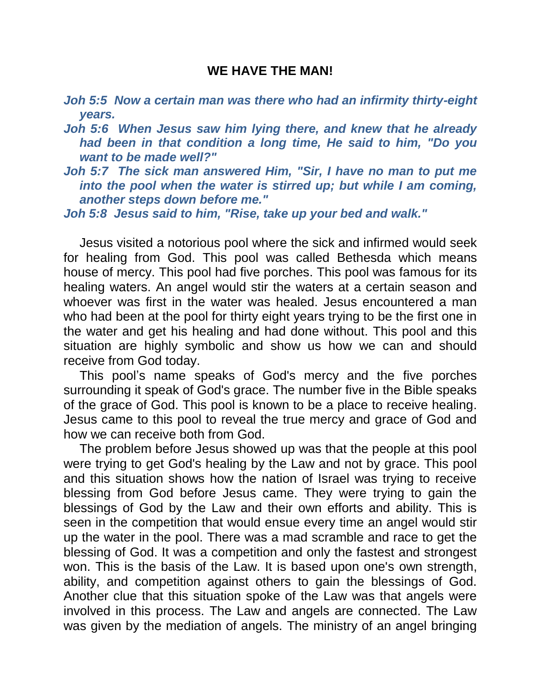## **WE HAVE THE MAN!**

- *Joh 5:5 Now a certain man was there who had an infirmity thirty-eight years.*
- *Joh 5:6 When Jesus saw him lying there, and knew that he already had been in that condition a long time, He said to him, "Do you want to be made well?"*
- *Joh 5:7 The sick man answered Him, "Sir, I have no man to put me into the pool when the water is stirred up; but while I am coming, another steps down before me."*

*Joh 5:8 Jesus said to him, "Rise, take up your bed and walk."*

Jesus visited a notorious pool where the sick and infirmed would seek for healing from God. This pool was called Bethesda which means house of mercy. This pool had five porches. This pool was famous for its healing waters. An angel would stir the waters at a certain season and whoever was first in the water was healed. Jesus encountered a man who had been at the pool for thirty eight years trying to be the first one in the water and get his healing and had done without. This pool and this situation are highly symbolic and show us how we can and should receive from God today.

This pool's name speaks of God's mercy and the five porches surrounding it speak of God's grace. The number five in the Bible speaks of the grace of God. This pool is known to be a place to receive healing. Jesus came to this pool to reveal the true mercy and grace of God and how we can receive both from God.

The problem before Jesus showed up was that the people at this pool were trying to get God's healing by the Law and not by grace. This pool and this situation shows how the nation of Israel was trying to receive blessing from God before Jesus came. They were trying to gain the blessings of God by the Law and their own efforts and ability. This is seen in the competition that would ensue every time an angel would stir up the water in the pool. There was a mad scramble and race to get the blessing of God. It was a competition and only the fastest and strongest won. This is the basis of the Law. It is based upon one's own strength, ability, and competition against others to gain the blessings of God. Another clue that this situation spoke of the Law was that angels were involved in this process. The Law and angels are connected. The Law was given by the mediation of angels. The ministry of an angel bringing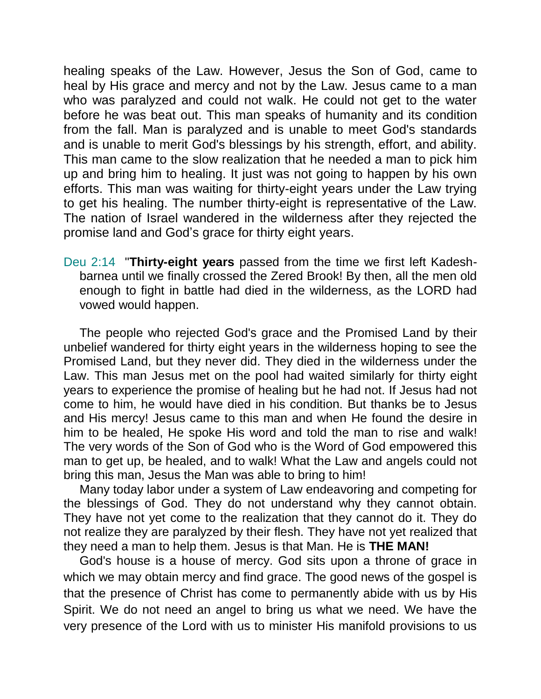healing speaks of the Law. However, Jesus the Son of God, came to heal by His grace and mercy and not by the Law. Jesus came to a man who was paralyzed and could not walk. He could not get to the water before he was beat out. This man speaks of humanity and its condition from the fall. Man is paralyzed and is unable to meet God's standards and is unable to merit God's blessings by his strength, effort, and ability. This man came to the slow realization that he needed a man to pick him up and bring him to healing. It just was not going to happen by his own efforts. This man was waiting for thirty-eight years under the Law trying to get his healing. The number thirty-eight is representative of the Law. The nation of Israel wandered in the wilderness after they rejected the promise land and God's grace for thirty eight years.

Deu 2:14 "**Thirty-eight years** passed from the time we first left Kadeshbarnea until we finally crossed the Zered Brook! By then, all the men old enough to fight in battle had died in the wilderness, as the LORD had vowed would happen.

The people who rejected God's grace and the Promised Land by their unbelief wandered for thirty eight years in the wilderness hoping to see the Promised Land, but they never did. They died in the wilderness under the Law. This man Jesus met on the pool had waited similarly for thirty eight years to experience the promise of healing but he had not. If Jesus had not come to him, he would have died in his condition. But thanks be to Jesus and His mercy! Jesus came to this man and when He found the desire in him to be healed, He spoke His word and told the man to rise and walk! The very words of the Son of God who is the Word of God empowered this man to get up, be healed, and to walk! What the Law and angels could not bring this man, Jesus the Man was able to bring to him!

Many today labor under a system of Law endeavoring and competing for the blessings of God. They do not understand why they cannot obtain. They have not yet come to the realization that they cannot do it. They do not realize they are paralyzed by their flesh. They have not yet realized that they need a man to help them. Jesus is that Man. He is **THE MAN!**

God's house is a house of mercy. God sits upon a throne of grace in which we may obtain mercy and find grace. The good news of the gospel is that the presence of Christ has come to permanently abide with us by His Spirit. We do not need an angel to bring us what we need. We have the very presence of the Lord with us to minister His manifold provisions to us